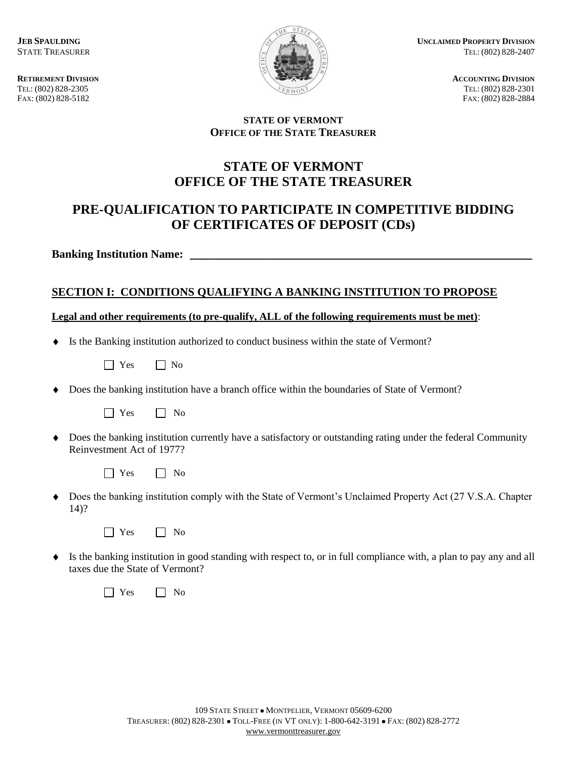**STATE TREASURER** 

FAX: (802) 828-5182



**JEB SPAULDING UNCLAIMED PROPERTY DIVISION**<br>STATE TREASURER **TEL**: (802) 828-2407

**RETIREMENT DIVISION**<br> **RETIREMENT DIVISION**<br> **ACCOUNTING DIVISION**<br> **ACCOUNTING DIVISION**<br> **ACCOUNTING DIVISION** TEL: (802) 828-2305<br>
FAX: (802) 828-5182<br>
FAX: (802) 828-5182<br>
FAX: (802) 828-2884

#### **STATE OF VERMONT OFFICE OF THE STATE TREASURER**

## **STATE OF VERMONT OFFICE OF THE STATE TREASURER**

## **PRE-QUALIFICATION TO PARTICIPATE IN COMPETITIVE BIDDING OF CERTIFICATES OF DEPOSIT (CDs)**

**Banking Institution Name: \_\_\_\_\_\_\_\_\_\_\_\_\_\_\_\_\_\_\_\_\_\_\_\_\_\_\_\_\_\_\_\_\_\_\_\_\_\_\_\_\_\_\_\_\_\_\_\_\_\_\_**

### **SECTION I: CONDITIONS QUALIFYING A BANKING INSTITUTION TO PROPOSE**

#### **Legal and other requirements (to pre-qualify, ALL of the following requirements must be met)**:

- Is the Banking institution authorized to conduct business within the state of Vermont?
	- No No
- Does the banking institution have a branch office within the boundaries of State of Vermont?

| -<br>- - - | - |  |
|------------|---|--|
|------------|---|--|

- Does the banking institution currently have a satisfactory or outstanding rating under the federal Community Reinvestment Act of 1977?
	- $\Box$  Yes  $\Box$  No
- Does the banking institution comply with the State of Vermont's Unclaimed Property Act (27 V.S.A. Chapter 14)?



Is the banking institution in good standing with respect to, or in full compliance with, a plan to pay any and all taxes due the State of Vermont?

| Ö<br>Ë<br>×<br>۰. |  | ง∩ |
|-------------------|--|----|
|-------------------|--|----|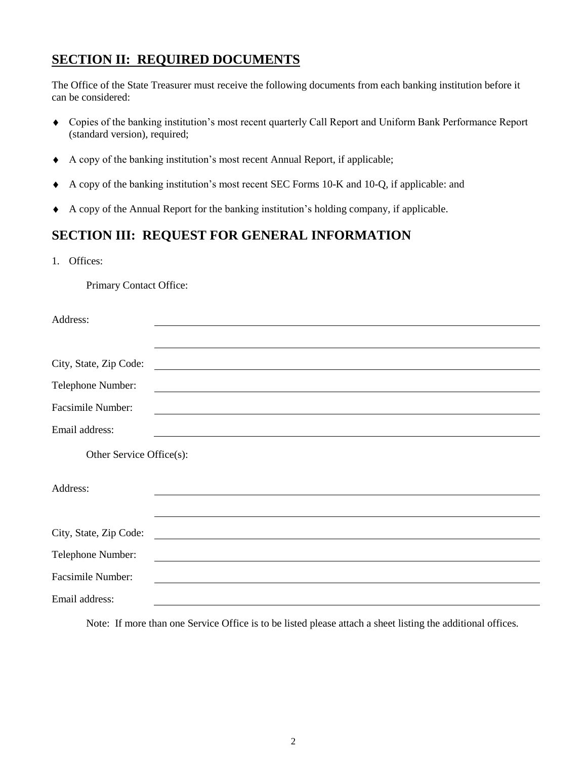# **SECTION II: REQUIRED DOCUMENTS**

The Office of the State Treasurer must receive the following documents from each banking institution before it can be considered:

- Copies of the banking institution's most recent quarterly Call Report and Uniform Bank Performance Report (standard version), required;
- A copy of the banking institution's most recent Annual Report, if applicable;  $\blacklozenge$
- A copy of the banking institution's most recent SEC Forms 10-K and 10-Q, if applicable: and  $\blacklozenge$
- A copy of the Annual Report for the banking institution's holding company, if applicable.  $\blacklozenge$

### **SECTION III: REQUEST FOR GENERAL INFORMATION**

1. Offices:

Primary Contact Office:

| Address:                 |                                                                                                                        |
|--------------------------|------------------------------------------------------------------------------------------------------------------------|
|                          |                                                                                                                        |
| City, State, Zip Code:   | <u> Andreas Andreas Andreas Andreas Andreas Andreas Andreas Andreas Andreas Andreas Andreas Andreas Andreas Andr</u>   |
| Telephone Number:        | <u> 1989 - Johann Stoff, deutscher Stoffen und der Stoffen und der Stoffen und der Stoffen und der Stoffen und der</u> |
| <b>Facsimile Number:</b> | ,我们也不会有什么。""我们的人,我们也不会有什么?""我们的人,我们也不会有什么?""我们的人,我们也不会有什么?""我们的人,我们也不会有什么?""我们的人                                       |
| Email address:           | <u> 1989 - Johann Stoff, deutscher Stoff, der Stoff, der Stoff, der Stoff, der Stoff, der Stoff, der Stoff, der S</u>  |
| Other Service Office(s): |                                                                                                                        |
| Address:                 |                                                                                                                        |
|                          |                                                                                                                        |
| City, State, Zip Code:   | <u> 1989 - Johann Stein, fransk politik (d. 1989)</u>                                                                  |
| Telephone Number:        |                                                                                                                        |
| <b>Facsimile Number:</b> |                                                                                                                        |
| Email address:           |                                                                                                                        |

Note: If more than one Service Office is to be listed please attach a sheet listing the additional offices.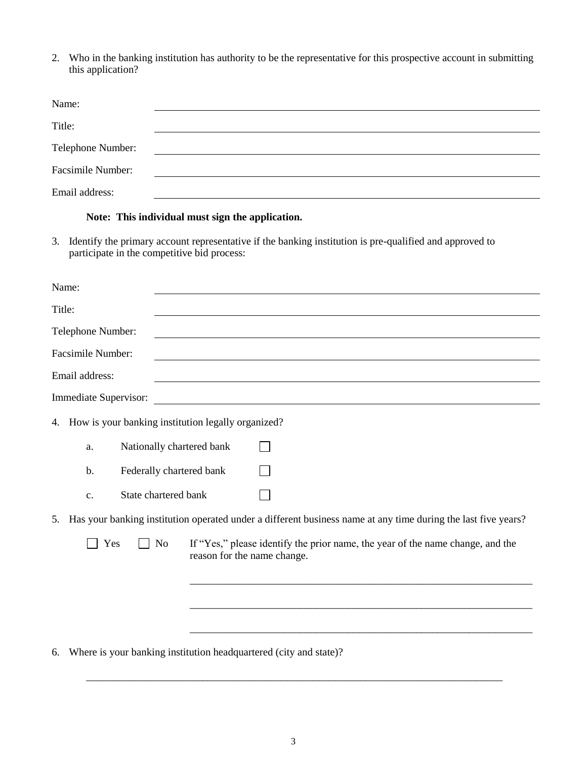2. Who in the banking institution has authority to be the representative for this prospective account in submitting this application?

| Name:                    |                                                                                                                      |
|--------------------------|----------------------------------------------------------------------------------------------------------------------|
| Title:                   |                                                                                                                      |
| Telephone Number:        | <u> 1980 - Jan Stein Stein Stein Stein Stein Stein Stein Stein Stein Stein Stein Stein Stein Stein Stein Stein S</u> |
| <b>Facsimile Number:</b> |                                                                                                                      |
| Email address:           |                                                                                                                      |

#### **Note: This individual must sign the application.**

3. Identify the primary account representative if the banking institution is pre-qualified and approved to participate in the competitive bid process:

| Name:                                                                                                                                          |
|------------------------------------------------------------------------------------------------------------------------------------------------|
| Title:                                                                                                                                         |
| Telephone Number:                                                                                                                              |
| <b>Facsimile Number:</b>                                                                                                                       |
| Email address:<br>and the control of the control of the control of the control of the control of the control of the control of the             |
| Immediate Supervisor:<br><u> 1980 - Johann Barn, mars ann an t-Amhain Aonaichte ann an t-Aonaichte ann an t-Aonaichte ann an t-Aonaichte a</u> |
| How is your banking institution legally organized?<br>4.                                                                                       |
| Nationally chartered bank<br>a.                                                                                                                |
| Federally chartered bank<br>$b$ .                                                                                                              |
| State chartered bank<br>c.                                                                                                                     |
| Has your banking institution operated under a different business name at any time during the last five years?<br>5.                            |
| If "Yes," please identify the prior name, the year of the name change, and the<br>Yes<br>No<br>reason for the name change.                     |
|                                                                                                                                                |
|                                                                                                                                                |
|                                                                                                                                                |
|                                                                                                                                                |

6. Where is your banking institution headquartered (city and state)?

\_\_\_\_\_\_\_\_\_\_\_\_\_\_\_\_\_\_\_\_\_\_\_\_\_\_\_\_\_\_\_\_\_\_\_\_\_\_\_\_\_\_\_\_\_\_\_\_\_\_\_\_\_\_\_\_\_\_\_\_\_\_\_\_\_\_\_\_\_\_\_\_\_\_\_\_\_\_\_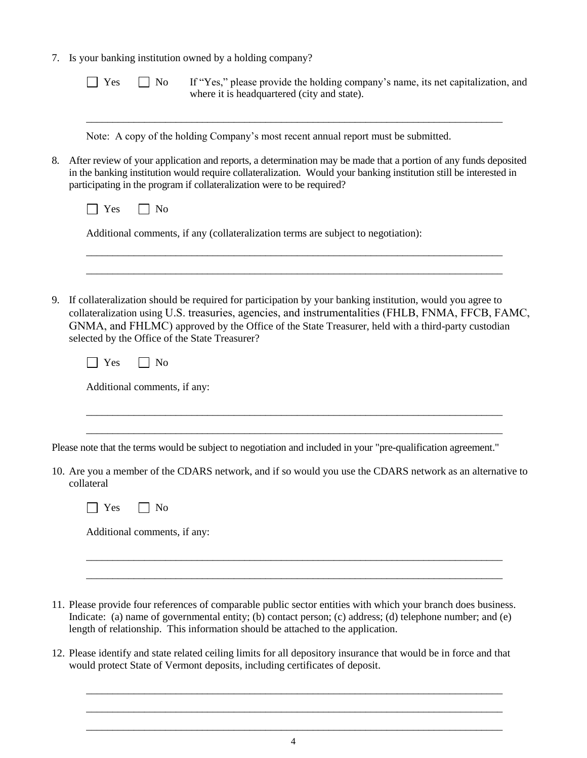7. Is your banking institution owned by a holding company?

|    | Yes                          | N <sub>o</sub> | If "Yes," please provide the holding company's name, its net capitalization, and<br>where it is headquartered (city and state).                                                                                                                                                                                                                                       |
|----|------------------------------|----------------|-----------------------------------------------------------------------------------------------------------------------------------------------------------------------------------------------------------------------------------------------------------------------------------------------------------------------------------------------------------------------|
|    |                              |                | Note: A copy of the holding Company's most recent annual report must be submitted.                                                                                                                                                                                                                                                                                    |
| 8. |                              |                | After review of your application and reports, a determination may be made that a portion of any funds deposited<br>in the banking institution would require collateralization. Would your banking institution still be interested in<br>participating in the program if collateralization were to be required?                                                        |
|    | Yes                          | N <sub>o</sub> |                                                                                                                                                                                                                                                                                                                                                                       |
|    |                              |                | Additional comments, if any (collateralization terms are subject to negotiation):                                                                                                                                                                                                                                                                                     |
|    |                              |                |                                                                                                                                                                                                                                                                                                                                                                       |
| 9. |                              |                | If collateralization should be required for participation by your banking institution, would you agree to<br>collateralization using U.S. treasuries, agencies, and instrumentalities (FHLB, FNMA, FFCB, FAMC,<br>GNMA, and FHLMC) approved by the Office of the State Treasurer, held with a third-party custodian<br>selected by the Office of the State Treasurer? |
|    | Yes                          | No             |                                                                                                                                                                                                                                                                                                                                                                       |
|    | Additional comments, if any: |                |                                                                                                                                                                                                                                                                                                                                                                       |
|    |                              |                | Please note that the terms would be subject to negotiation and included in your "pre-qualification agreement."                                                                                                                                                                                                                                                        |
|    | collateral                   |                | 10. Are you a member of the CDARS network, and if so would you use the CDARS network as an alternative to                                                                                                                                                                                                                                                             |
|    | Yes                          | N <sub>o</sub> |                                                                                                                                                                                                                                                                                                                                                                       |
|    | Additional comments, if any: |                |                                                                                                                                                                                                                                                                                                                                                                       |
|    |                              |                |                                                                                                                                                                                                                                                                                                                                                                       |
|    |                              |                | 11. Please provide four references of comparable public sector entities with which your branch does business.<br>Indicate: (a) name of governmental entity; (b) contact person; (c) address; (d) telephone number; and (e)<br>length of relationship. This information should be attached to the application.                                                         |

12. Please identify and state related ceiling limits for all depository insurance that would be in force and that would protect State of Vermont deposits, including certificates of deposit.

\_\_\_\_\_\_\_\_\_\_\_\_\_\_\_\_\_\_\_\_\_\_\_\_\_\_\_\_\_\_\_\_\_\_\_\_\_\_\_\_\_\_\_\_\_\_\_\_\_\_\_\_\_\_\_\_\_\_\_\_\_\_\_\_\_\_\_\_\_\_\_\_\_\_\_\_\_\_\_ \_\_\_\_\_\_\_\_\_\_\_\_\_\_\_\_\_\_\_\_\_\_\_\_\_\_\_\_\_\_\_\_\_\_\_\_\_\_\_\_\_\_\_\_\_\_\_\_\_\_\_\_\_\_\_\_\_\_\_\_\_\_\_\_\_\_\_\_\_\_\_\_\_\_\_\_\_\_\_